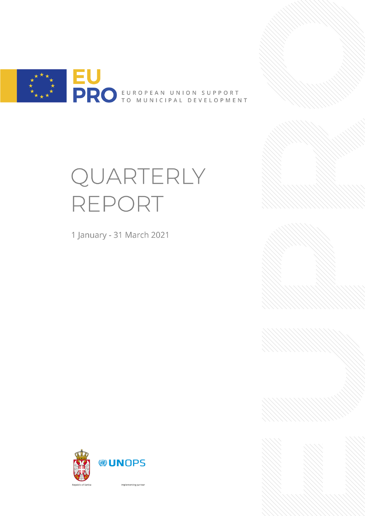

# QUARTERLY REPORT

1 January - 31 March 2021



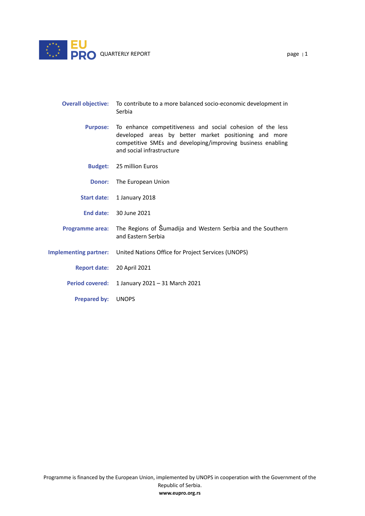

| Overall objective: To contribute to a more balanced socio-economic development in<br>Serbia |  |                                                                                                                 |  |  |  |  |  |  |
|---------------------------------------------------------------------------------------------|--|-----------------------------------------------------------------------------------------------------------------|--|--|--|--|--|--|
|                                                                                             |  | the contract of the contract of the contract of the contract of the contract of the contract of the contract of |  |  |  |  |  |  |

**Purpose:** To enhance competitiveness and social cohesion of the less developed areas by better market positioning and more competitive SMEs and developing/improving business enabling and social infrastructure

**Budget:** 25 million Euros

**Donor:** The European Union

**Start date:** 1 January 2018

**End date:** 30 June 2021

- **Programme area:** The Regions of Šumadija and Western Serbia and the Southern and Eastern Serbia
- **Implementing partner:** United Nations Office for Project Services (UNOPS)

**Report date:** 20 April 2021

**Period covered:** 1 January 2021 – 31 March 2021

**Prepared by:** UNOPS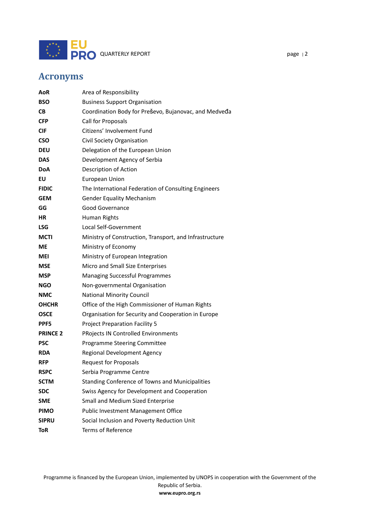

# <span id="page-2-0"></span>**Acronyms**

| AoR             | Area of Responsibility                                  |
|-----------------|---------------------------------------------------------|
| <b>BSO</b>      | <b>Business Support Organisation</b>                    |
| CВ              | Coordination Body for Preševo, Bujanovac, and Medveda   |
| <b>CFP</b>      | Call for Proposals                                      |
| <b>CIF</b>      | Citizens' Involvement Fund                              |
| <b>CSO</b>      | Civil Society Organisation                              |
| <b>DEU</b>      | Delegation of the European Union                        |
| <b>DAS</b>      | Development Agency of Serbia                            |
| <b>DoA</b>      | Description of Action                                   |
| EU              | <b>European Union</b>                                   |
| <b>FIDIC</b>    | The International Federation of Consulting Engineers    |
| GEM             | <b>Gender Equality Mechanism</b>                        |
| GG              | Good Governance                                         |
| <b>HR</b>       | Human Rights                                            |
| <b>LSG</b>      | Local Self-Government                                   |
| <b>MCTI</b>     | Ministry of Construction, Transport, and Infrastructure |
| <b>ME</b>       | Ministry of Economy                                     |
| MEI             | Ministry of European Integration                        |
| MSE             | Micro and Small Size Enterprises                        |
| <b>MSP</b>      | <b>Managing Successful Programmes</b>                   |
| <b>NGO</b>      | Non-governmental Organisation                           |
| <b>NMC</b>      | <b>National Minority Council</b>                        |
| <b>OHCHR</b>    | Office of the High Commissioner of Human Rights         |
| <b>OSCE</b>     | Organisation for Security and Cooperation in Europe     |
| PPF5            | <b>Project Preparation Facility 5</b>                   |
| <b>PRINCE 2</b> | <b>PRojects IN Controlled Environments</b>              |
| <b>PSC</b>      | Programme Steering Committee                            |
| <b>RDA</b>      | Regional Development Agency                             |
| <b>RFP</b>      | <b>Request for Proposals</b>                            |
| <b>RSPC</b>     | Serbia Programme Centre                                 |
| <b>SCTM</b>     | Standing Conference of Towns and Municipalities         |
| <b>SDC</b>      | Swiss Agency for Development and Cooperation            |
| <b>SME</b>      | Small and Medium Sized Enterprise                       |
| <b>PIMO</b>     | <b>Public Investment Management Office</b>              |
| <b>SIPRU</b>    | Social Inclusion and Poverty Reduction Unit             |
| <b>ToR</b>      | Terms of Reference                                      |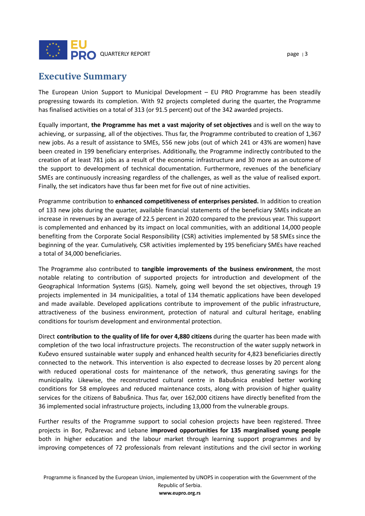

<span id="page-3-0"></span>The European Union Support to Municipal Development – EU PRO Programme has been steadily progressing towards its completion. With 92 projects completed during the quarter, the Programme has finalised activities on a total of 313 (or 91.5 percent) out of the 342 awarded projects.

Equally important, **the Programme has met a vast majority of set objectives** and is well on the way to achieving, or surpassing, all of the objectives. Thus far, the Programme contributed to creation of 1,367 new jobs. As a result of assistance to SMEs, 556 new jobs (out of which 241 or 43% are women) have been created in 199 beneficiary enterprises. Additionally, the Programme indirectly contributed to the creation of at least 781 jobs as a result of the economic infrastructure and 30 more as an outcome of the support to development of technical documentation. Furthermore, revenues of the beneficiary SMEs are continuously increasing regardless of the challenges, as well as the value of realised export. Finally, the set indicators have thus far been met for five out of nine activities.

Programme contribution to **enhanced competitiveness of enterprises persisted.** In addition to creation of 133 new jobs during the quarter, available financial statements of the beneficiary SMEs indicate an increase in revenues by an average of 22.5 percent in 2020 compared to the previous year. This support is complemented and enhanced by its impact on local communities, with an additional 14,000 people benefiting from the Corporate Social Responsibility (CSR) activities implemented by 58 SMEs since the beginning of the year. Cumulatively, CSR activities implemented by 195 beneficiary SMEs have reached a total of 34,000 beneficiaries.

The Programme also contributed to **tangible improvements of the business environment**, the most notable relating to contribution of supported projects for introduction and development of the Geographical Information Systems (GIS). Namely, going well beyond the set objectives, through 19 projects implemented in 34 municipalities, a total of 134 thematic applications have been developed and made available. Developed applications contribute to improvement of the public infrastructure, attractiveness of the business environment, protection of natural and cultural heritage, enabling conditions for tourism development and environmental protection.

Direct **contribution to the quality of life for over 4,880 citizens** during the quarter has been made with completion of the two local infrastructure projects. The reconstruction of the water supply network in Kučevo ensured sustainable water supply and enhanced health security for 4,823 beneficiaries directly connected to the network. This intervention is also expected to decrease losses by 20 percent along with reduced operational costs for maintenance of the network, thus generating savings for the municipality. Likewise, the reconstructed cultural centre in Babušnica enabled better working conditions for 58 employees and reduced maintenance costs, along with provision of higher quality services for the citizens of Babušnica. Thus far, over 162,000 citizens have directly benefited from the 36 implemented social infrastructure projects, including 13,000 from the vulnerable groups.

Further results of the Programme support to social cohesion projects have been registered. Three projects in Bor, Požarevac and Lebane **improved opportunities for 135 marginalised young people** both in higher education and the labour market through learning support programmes and by improving competences of 72 professionals from relevant institutions and the civil sector in working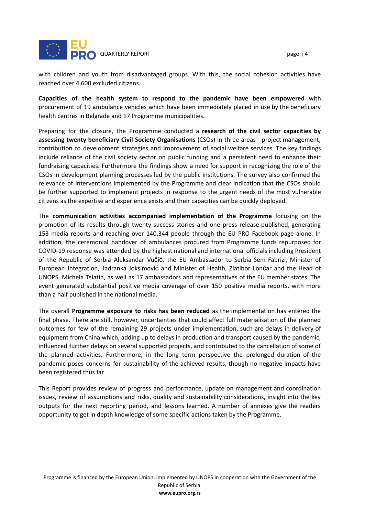

with children and youth from disadvantaged groups. With this, the social cohesion activities have reached over 4,600 excluded citizens.

**Capacities of the health system to respond to the pandemic have been empowered** with procurement of 19 ambulance vehicles which have been immediately placed in use by the beneficiary health centres in Belgrade and 17 Programme municipalities.

Preparing for the closure, the Programme conducted a **research of the civil sector capacities by assessing twenty beneficiary Civil Society Organisations** (CSOs) in three areas - project management, contribution to development strategies and improvement of social welfare services. The key findings include reliance of the civil society sector on public funding and a persistent need to enhance their fundraising capacities. Furthermore the findings show a need for support in recognizing the role of the CSOs in development planning processes led by the public institutions. The survey also confirmed the relevance of interventions implemented by the Programme and clear indication that the CSOs should be further supported to implement projects in response to the urgent needs of the most vulnerable citizens as the expertise and experience exists and their capacities can be quickly deployed.

The **communication activities accompanied implementation of the Programme** focusing on the promotion of its results through twenty success stories and one press release published, generating 153 media reports and reaching over 140,344 people through the EU PRO Facebook page alone. In addition, the ceremonial handover of ambulances procured from Programme funds repurposed for COVID-19 response was attended by the highest national and international officials including President of the Republic of Serbia Aleksandar Vučić, the EU Ambassador to Serbia Sem Fabrizi, Minister of European Integration, Jadranka Joksimović and Minister of Health, Zlatibor Lončar and the Head of UNOPS, Michela Telatin, as well as 17 ambassadors and representatives of the EU member states. The event generated substantial positive media coverage of over 150 positive media reports, with more than a half published in the national media.

The overall **Programme exposure to risks has been reduced** as the implementation has entered the final phase. There are still, however, uncertainties that could affect full materialisation of the planned outcomes for few of the remaining 29 projects under implementation, such are delays in delivery of equipment from China which, adding up to delays in production and transport caused by the pandemic, influenced further delays on several supported projects, and contributed to the cancellation of some of the planned activities. Furthermore, in the long term perspective the prolonged duration of the pandemic poses concerns for sustainability of the achieved results, though no negative impacts have been registered thus far.

This Report provides review of progress and performance, update on management and coordination issues, review of assumptions and risks, quality and sustainability considerations, insight into the key outputs for the next reporting period, and lessons learned. A number of annexes give the readers opportunity to get in depth knowledge of some specific actions taken by the Programme.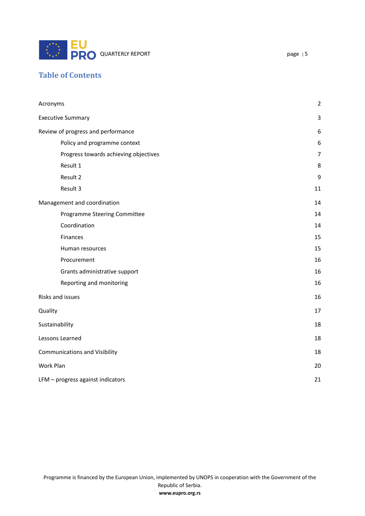

## **Table of Contents**

| Acronyms                              | $\overline{2}$   |
|---------------------------------------|------------------|
| <b>Executive Summary</b>              | 3                |
| Review of progress and performance    | 6                |
| Policy and programme context          | $\boldsymbol{6}$ |
| Progress towards achieving objectives | 7                |
| Result 1                              | 8                |
| Result 2                              | 9                |
| Result 3                              | 11               |
| Management and coordination           | 14               |
| Programme Steering Committee          | 14               |
| Coordination                          | 14               |
| Finances                              | 15               |
| Human resources                       | 15               |
| Procurement                           | 16               |
| Grants administrative support         | 16               |
| Reporting and monitoring              | 16               |
| Risks and issues                      | 16               |
| Quality                               | 17               |
| Sustainability                        | 18               |
| Lessons Learned                       | 18               |
| <b>Communications and Visibility</b>  | 18               |
| Work Plan                             | 20               |
| LFM - progress against indicators     | 21               |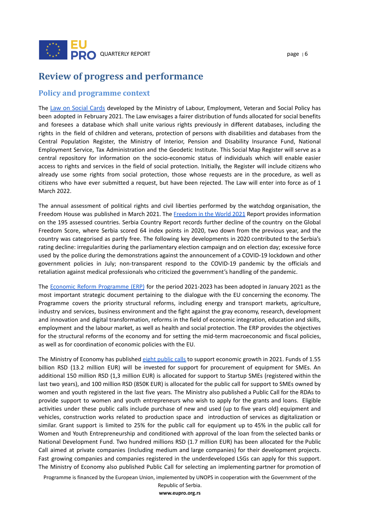

## <span id="page-6-0"></span>**Review of progress and performance**

#### <span id="page-6-1"></span>**Policy and programme context**

The Law on [Social](http://www.parlament.gov.rs/upload/archive/files/cir/pdf/zakoni/2021/95-21.pdf) Cards developed by the Ministry of Labour, Employment, Veteran and Social Policy has been adopted in February 2021. The Law envisages a fairer distribution of funds allocated for social benefits and foresees a database which shall unite various rights previously in different databases, including the rights in the field of children and veterans, protection of persons with disabilities and databases from the Central Population Register, the Ministry of Interior, Pension and Disability Insurance Fund, National Employment Service, Tax Administration and the Geodetic Institute. This Social Map Register will serve as a central repository for information on the socio-economic status of individuals which will enable easier access to rights and services in the field of social protection. Initially, the Register will include citizens who already use some rights from social protection, those whose requests are in the procedure, as well as citizens who have ever submitted a request, but have been rejected. The Law will enter into force as of 1 March 2022.

The annual assessment of political rights and civil liberties performed by the watchdog organisation, the [Freedom](https://freedomhouse.org/country/serbia/freedom-world/2021) House was published in March 2021. The Freedom in the World 2021 Report provides information on the 195 assessed countries. Serbia Country Report records further decline of the country on the Global Freedom Score, where Serbia scored 64 index points in 2020, two down from the previous year, and the country was categorised as partly free. The following key developments in 2020 contributed to the Serbia's rating decline: irregularities during the parliamentary election campaign and on election day; excessive force used by the police during the demonstrations against the announcement of a COVID-19 lockdown and other government policies in July; non-transparent respond to the COVID-19 pandemic by the officials and retaliation against medical professionals who criticized the government's handling of the pandemic.

The Economic Reform [Programme](https://rsjp.gov.rs/wp-content/uploads/Program-ekonomskih-reformi-RS-2021-2023.pdf) (ERP) for the period 2021-2023 has been adopted in January 2021 as the most important strategic document pertaining to the dialogue with the EU concerning the economy. The Programme covers the priority structural reforms, including energy and transport markets, agriculture, industry and services, business environment and the fight against the gray economy, research, development and innovation and digital transformation, reforms in the field of economic integration, education and skills, employment and the labour market, as well as health and social protection. The ERP provides the objectives for the structural reforms of the economy and for setting the mid-term macroeconomic and fiscal policies, as well as for coordination of economic policies with the EU.

The Ministry of Economy has published eight [public](https://privreda.gov.rs/javni_pozivi/) calls to support economic growth in 2021. Funds of 1.55 billion RSD (13.2 million EUR) will be invested for support for procurement of equipment for SMEs. An additional 150 million RSD (1,3 million EUR) is allocated for support to Startup SMEs (registered within the last two years), and 100 million RSD (850K EUR) is allocated for the public call for support to SMEs owned by women and youth registered in the last five years. The Ministry also published a Public Call for the RDAs to provide support to women and youth entrepreneurs who wish to apply for the grants and loans. Eligible activities under these public calls include purchase of new and used (up to five years old) equipment and vehicles, construction works related to production space and introduction of services as digitalization or similar. Grant support is limited to 25% for the public call for equipment up to 45% in the public call for Women and Youth Entrepreneurship and conditioned with approval of the loan from the selected banks or National Development Fund. Two hundred millions RSD (1.7 million EUR) has been allocated for the Public Call aimed at private companies (including medium and large companies) for their development projects. Fast growing companies and companies registered in the underdeveloped LSGs can apply for this support. The Ministry of Economy also published Public Call for selecting an implementing partner for promotion of

Programme is financed by the European Union, implemented by UNOPS in cooperation with the Government of the

Republic of Serbia. **www.eupro.org.rs**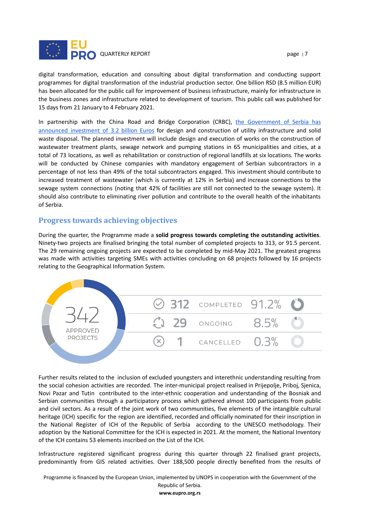

digital transformation, education and consulting about digital transformation and conducting support programmes for digital transformation of the industrial production sector. One billion RSD (8.5 million EUR) has been allocated for the public call for improvement of business infrastructure, mainly for infrastructure in the business zones and infrastructure related to development of tourism. This public call was published for 15 days from 21 January to 4 February 2021.

In partnership with the China Road and Bridge Corporation (CRBC), the [Government](https://www.mgsi.gov.rs/lat/aktuelnosti/momirovic-najznacajniji-projekat-izgradnje-komunalne-infrastrukture-u-srbiji) of Serbia has [announced](https://www.mgsi.gov.rs/lat/aktuelnosti/momirovic-najznacajniji-projekat-izgradnje-komunalne-infrastrukture-u-srbiji) investment of 3.2 billion Euros for design and construction of utility infrastructure and solid waste disposal. The planned investment will include design and execution of works on the construction of wastewater treatment plants, sewage network and pumping stations in 65 municipalities and cities, at a total of 73 locations, as well as rehabilitation or construction of regional landfills at six locations. The works will be conducted by Chinese companies with mandatory engagement of Serbian subcontractors in a percentage of not less than 49% of the total subcontractors engaged. This investment should contribute to increased treatment of wastewater (which is currently at 12% in Serbia) and increase connections to the sewage system connections (noting that 42% of facilities are still not connected to the sewage system). It should also contribute to eliminating river pollution and contribute to the overall health of the inhabitants of Serbia.

## <span id="page-7-0"></span>**Progress towards achieving objectives**

During the quarter, the Programme made a **solid progress towards completing the outstanding activities**. Ninety-two projects are finalised bringing the total number of completed projects to 313, or 91.5 percent. The 29 remaining ongoing projects are expected to be completed by mid-May 2021. The greatest progress was made with activities targeting SMEs with activities concluding on 68 projects followed by 16 projects relating to the Geographical Information System.



Further results related to the inclusion of excluded youngsters and interethnic understanding resulting from the social cohesion activities are recorded. The inter-municipal project realised in Prijepolje, Priboj, Sjenica, Novi Pazar and Tutin contributed to the inter-ethnic cooperation and understanding of the Bosniak and Serbian communities through a participatory process which gathered almost 100 participants from public and civil sectors. As a result of the joint work of two communities, five elements of the intangible cultural heritage (ICH) specific for the region are identified, recorded and officially nominated for their inscription in the National Register of ICH of the Republic of Serbia according to the UNESCO methodology. Their adoption by the National Committee for the ICH is expected in 2021. At the moment, the National Inventory of the ICH contains 53 elements inscribed on the List of the ICH.

Infrastructure registered significant progress during this quarter through 22 finalised grant projects, predominantly from GIS related activities. Over 188,500 people directly benefited from the results of

Programme is financed by the European Union, implemented by UNOPS in cooperation with the Government of the Republic of Serbia.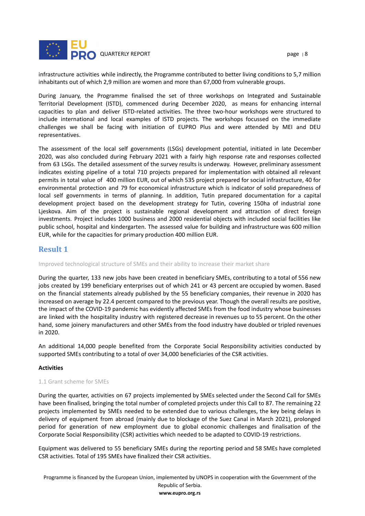

infrastructure activities while indirectly, the Programme contributed to better living conditions to 5,7 million inhabitants out of which 2,9 million are women and more than 67,000 from vulnerable groups.

During January, the Programme finalised the set of three workshops on Integrated and Sustainable Territorial Development (ISTD), commenced during December 2020, as means for enhancing internal capacities to plan and deliver ISTD-related activities. The three two-hour workshops were structured to include international and local examples of ISTD projects. The workshops focussed on the immediate challenges we shall be facing with initiation of EUPRO Plus and were attended by MEI and DEU representatives.

The assessment of the local self governments (LSGs) development potential, initiated in late December 2020, was also concluded during February 2021 with a fairly high response rate and responses collected from 63 LSGs. The detailed assessment of the survey results is underway. However, preliminary assessment indicates existing pipeline of a total 710 projects prepared for implementation with obtained all relevant permits in total value of 400 million EUR, out of which 535 project prepared for social infrastructure, 40 for environmental protection and 79 for economical infrastructure which is indicator of solid preparedness of local self governments in terms of planning. In addition, Tutin prepared documentation for a capital development project based on the development strategy for Tutin, covering 150ha of industrial zone Ljeskova. Aim of the project is sustainable regional development and attraction of direct foreign investments. Project includes 1000 business and 2000 residential objects with included social facilities like public school, hospital and kindergarten. The assessed value for building and infrastructure was 600 million EUR, while for the capacities for primary production 400 million EUR.

#### <span id="page-8-0"></span>**Result 1**

Improved technological structure of SMEs and their ability to increase their market share

During the quarter, 133 new jobs have been created in beneficiary SMEs, contributing to a total of 556 new jobs created by 199 beneficiary enterprises out of which 241 or 43 percent are occupied by women. Based on the financial statements already published by the 55 beneficiary companies, their revenue in 2020 has increased on average by 22.4 percent compared to the previous year. Though the overall results are positive, the impact of the COVID-19 pandemic has evidently affected SMEs from the food industry whose businesses are linked with the hospitality industry with registered decrease in revenues up to 55 percent. On the other hand, some joinery manufacturers and other SMEs from the food industry have doubled or tripled revenues in 2020.

An additional 14,000 people benefited from the Corporate Social Responsibility activities conducted by supported SMEs contributing to a total of over 34,000 beneficiaries of the CSR activities.

#### **Activities**

#### 1.1 Grant scheme for SMEs

During the quarter, activities on 67 projects implemented by SMEs selected under the Second Call for SMEs have been finalised, bringing the total number of completed projects under this Call to 87. The remaining 22 projects implemented by SMEs needed to be extended due to various challenges, the key being delays in delivery of equipment from abroad (mainly due to blockage of the Suez Canal in March 2021), prolonged period for generation of new employment due to global economic challenges and finalisation of the Corporate Social Responsibility (CSR) activities which needed to be adapted to COVID-19 restrictions.

Equipment was delivered to 55 beneficiary SMEs during the reporting period and 58 SMEs have completed CSR activities. Total of 195 SMEs have finalized their CSR activities.

Programme is financed by the European Union, implemented by UNOPS in cooperation with the Government of the Republic of Serbia. **www.eupro.org.rs**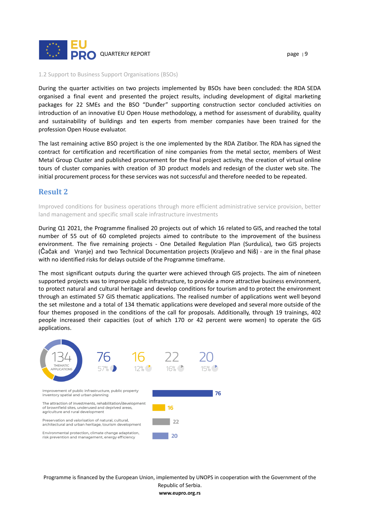

#### 1.2 Support to Business Support Organisations (BSOs)

During the quarter activities on two projects implemented by BSOs have been concluded: the RDA SEDA organised a final event and presented the project results, including development of digital marketing packages for 22 SMEs and the BSO "Dunđer" supporting construction sector concluded activities on introduction of an innovative EU Open House methodology, a method for assessment of durability, quality and sustainability of buildings and ten experts from member companies have been trained for the profession Open House evaluator.

The last remaining active BSO project is the one implemented by the RDA Zlatibor. The RDA has signed the contract for certification and recertification of nine companies from the metal sector, members of West Metal Group Cluster and published procurement for the final project activity, the creation of virtual online tours of cluster companies with creation of 3D product models and redesign of the cluster web site. The initial procurement process for these services was not successful and therefore needed to be repeated.

#### <span id="page-9-0"></span>**Result 2**

Improved conditions for business operations through more efficient administrative service provision, better land management and specific small scale infrastructure investments

During Q1 2021, the Programme finalised 20 projects out of which 16 related to GIS, and reached the total number of 55 out of 60 completed projects aimed to contribute to the improvement of the business environment. The five remaining projects - One Detailed Regulation Plan (Surdulica), two GIS projects (Čačak and Vranje) and two Technical Documentation projects (Kraljevo and Niš) - are in the final phase with no identified risks for delays outside of the Programme timeframe.

The most significant outputs during the quarter were achieved through GIS projects. The aim of nineteen supported projects was to improve public infrastructure, to provide a more attractive business environment, to protect natural and cultural heritage and develop conditions for tourism and to protect the environment through an estimated 57 GIS thematic applications. The realised number of applications went well beyond the set milestone and a total of 134 thematic applications were developed and several more outside of the four themes proposed in the conditions of the call for proposals. Additionally, through 19 trainings, 402 people increased their capacities (out of which 170 or 42 percent were women) to operate the GIS applications.



Programme is financed by the European Union, implemented by UNOPS in cooperation with the Government of the Republic of Serbia. **www.eupro.org.rs**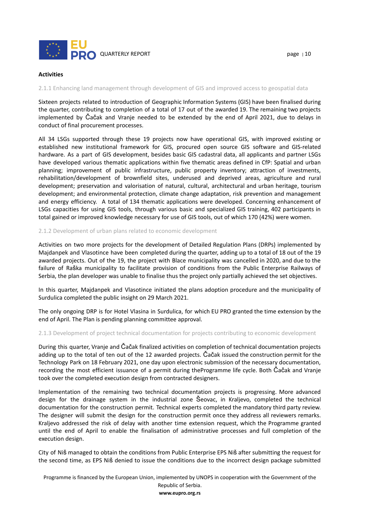

#### **Activities**

2.1.1 Enhancing land management through development of GIS and improved access to geospatial data

Sixteen projects related to introduction of Geographic Information Systems (GIS) have been finalised during the quarter, contributing to completion of a total of 17 out of the awarded 19. The remaining two projects implemented by Čačak and Vranje needed to be extended by the end of April 2021, due to delays in conduct of final procurement processes.

All 34 LSGs supported through these 19 projects now have operational GIS, with improved existing or established new institutional framework for GIS, procured open source GIS software and GIS-related hardware. As a part of GIS development, besides basic GIS cadastral data, all applicants and partner LSGs have developed various thematic applications within five thematic areas defined in CfP: Spatial and urban planning; improvement of public infrastructure, public property inventory; attraction of investments, rehabilitation/development of brownfield sites, underused and deprived areas, agriculture and rural development; preservation and valorisation of natural, cultural, architectural and urban heritage, tourism development; and environmental protection, climate change adaptation, risk prevention and management and energy efficiency. A total of 134 thematic applications were developed. Concerning enhancement of LSGs capacities for using GIS tools, through various basic and specialized GIS training, 402 participants in total gained or improved knowledge necessary for use of GIS tools, out of which 170 (42%) were women.

#### 2.1.2 Development of urban plans related to economic development

Activities on two more projects for the development of Detailed Regulation Plans (DRPs) implemented by Majdanpek and Vlasotince have been completed during the quarter, adding up to a total of 18 out of the 19 awarded projects. Out of the 19, the project with Blace municipality was cancelled in 2020, and due to the failure of Raška municipality to facilitate provision of conditions from the Public Enterprise Railways of Serbia, the plan developer was unable to finalise thus the project only partially achieved the set objectives.

In this quarter, Majdanpek and Vlasotince initiated the plans adoption procedure and the municipality of Surdulica completed the public insight on 29 March 2021.

The only ongoing DRP is for Hotel Vlasina in Surdulica, for which EU PRO granted the time extension by the end of April. The Plan is pending planning committee approval.

#### 2.1.3 Development of project technical documentation for projects contributing to economic development

During this quarter, Vranje and Čačak finalized activities on completion of technical documentation projects adding up to the total of ten out of the 12 awarded projects. Čačak issued the construction permit for the Technology Park on 18 February 2021, one day upon electronic submission of the necessary documentation, recording the most efficient issuance of a permit during theProgramme life cycle. Both Čačak and Vranje took over the completed execution design from contracted designers.

Implementation of the remaining two technical documentation projects is progressing. More advanced design for the drainage system in the industrial zone Šeovac, in Kraljevo, completed the technical documentation for the construction permit. Technical experts completed the mandatory third party review. The designer will submit the design for the construction permit once they address all reviewers remarks. Kraljevo addressed the risk of delay with another time extension request, which the Programme granted until the end of April to enable the finalisation of administrative processes and full completion of the execution design.

City of Niš managed to obtain the conditions from Public Enterprise EPS Niš after submitting the request for the second time, as EPS Niš denied to issue the conditions due to the incorrect design package submitted

Programme is financed by the European Union, implemented by UNOPS in cooperation with the Government of the Republic of Serbia.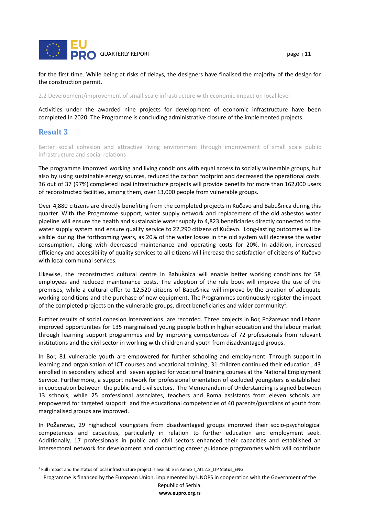

for the first time. While being at risks of delays, the designers have finalised the majority of the design for the construction permit.

2.2 Development/improvement of small-scale infrastructure with economic impact on local level

Activities under the awarded nine projects for development of economic infrastructure have been completed in 2020. The Programme is concluding administrative closure of the implemented projects.

## <span id="page-11-0"></span>**Result 3**

Better social cohesion and attractive living environment through improvement of small scale public infrastructure and social relations

The programme improved working and living conditions with equal access to socially vulnerable groups, but also by using sustainable energy sources, reduced the carbon footprint and decreased the operational costs. 36 out of 37 (97%) completed local infrastructure projects will provide benefits for more than 162,000 users of reconstructed facilities, among them, over 13,000 people from vulnerable groups.

Over 4,880 citizens are directly benefiting from the completed projects in Kučevo and Babušnica during this quarter. With the Programme support, water supply network and replacement of the old asbestos water pipeline will ensure the health and sustainable water supply to 4,823 beneficiaries directly connected to the water supply system and ensure quality service to 22,290 citizens of Kučevo. Long-lasting outcomes will be visible during the forthcoming years, as 20% of the water losses in the old system will decrease the water consumption, along with decreased maintenance and operating costs for 20%. In addition, increased efficiency and accessibility of quality services to all citizens will increase the satisfaction of citizens of Kučevo with local communal services.

Likewise, the reconstructed cultural centre in Babušnica will enable better working conditions for 58 employees and reduced maintenance costs. The adoption of the rule book will improve the use of the premises, while a cultural offer to 12,520 citizens of Babušnica will improve by the creation of adequate working conditions and the purchase of new equipment. The Programmes continuously register the impact of the completed projects on the vulnerable groups, direct beneficiaries and wider community<sup>1</sup>.

Further results of social cohesion interventions are recorded. Three projects in Bor, Požarevac and Lebane improved opportunities for 135 marginalised young people both in higher education and the labour market through learning support programmes and by improving competences of 72 professionals from relevant institutions and the civil sector in working with children and youth from disadvantaged groups.

In Bor, 81 vulnerable youth are empowered for further schooling and employment. Through support in learning and organisation of ICT courses and vocational training, 31 children continued their education , 43 enrolled in secondary school and seven applied for vocational training courses at the National Employment Service. Furthermore, a support network for professional orientation of excluded youngsters is established in cooperation between the public and civil sectors. The Memorandum of Understanding is signed between 13 schools, while 25 professional associates, teachers and Roma assistants from eleven schools are empowered for targeted support and the educational competencies of 40 parents/guardians of youth from marginalised groups are improved.

In Požarevac, 29 highschool youngsters from disadvantaged groups improved their socio-psychological competences and capacities, particularly in relation to further education and employment seek. Additionally, 17 professionals in public and civil sectors enhanced their capacities and established an intersectoral network for development and conducting career guidance programmes which will contribute

Republic of Serbia. **www.eupro.org.rs**

<sup>1</sup> Full impact and the status of local infrastructure project is available in AnnexII\_Att.2.3\_LIP Status\_ENG

Programme is financed by the European Union, implemented by UNOPS in cooperation with the Government of the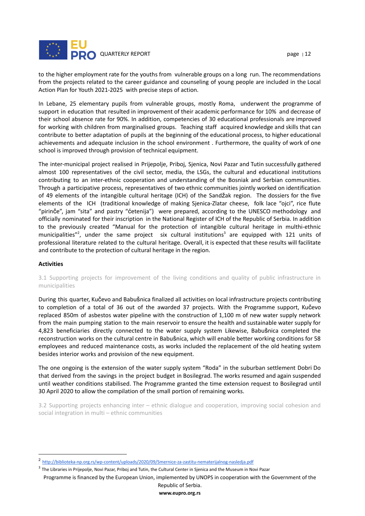

to the higher employment rate for the youths from vulnerable groups on a long run. The recommendations from the projects related to the career guidance and counseling of young people are included in the Local Action Plan for Youth 2021-2025 with precise steps of action.

In Lebane, 25 elementary pupils from vulnerable groups, mostly Roma, underwent the programme of support in education that resulted in improvement of their academic performance for 10% and decrease of their school absence rate for 90%. In addition, competencies of 30 educational professionals are improved for working with children from marginalised groups. Teaching staff acquired knowledge and skills that can contribute to better adaptation of pupils at the beginning of the educational process, to higher educational achievements and adequate inclusion in the school environment . Furthermore, the quality of work of one school is improved through provision of technical equipment.

The inter-municipal project realised in Prijepolje, Priboj, Sjenica, Novi Pazar and Tutin successfully gathered almost 100 representatives of the civil sector, media, the LSGs, the cultural and educational institutions contributing to an inter-ethnic cooperation and understanding of the Bosniak and Serbian communities. Through a participative process, representatives of two ethnic communities jointly worked on identification of 49 elements of the intangible cultural heritage (ICH) of the Sandžak region. The dossiers for the five elements of the ICH (traditional knowledge of making Sjenica-Zlatar cheese, folk lace "ojci", rice flute "pirinče", jam "sita" and pastry "ćetenija") were prepared, according to the UNESCO methodology and officially nominated for their inscription in the National Register of ICH of the Republic of Serbia. In addition to the previously created "Manual for the protection of intangible cultural heritage in multhi-ethnic municipalities"<sup>2</sup>, under the same project six cultural institutions<sup>3</sup> are equipped with 121 units of professional literature related to the cultural heritage. Overall, it is expected that these results will facilitate and contribute to the protection of cultural heritage in the region.

#### **Activities**

3.1 Supporting projects for improvement of the living conditions and quality of public infrastructure in municipalities

During this quarter, Kučevo and Babušnica finalized all activities on local infrastructure projects contributing to completion of a total of 36 out of the awarded 37 projects. With the Programme support, Kučevo replaced 850m of asbestos water pipeline with the construction of 1,100 m of new water supply network from the main pumping station to the main reservoir to ensure the health and sustainable water supply for 4,823 beneficiaries directly connected to the water supply system Likewise, Babušnica completed the reconstruction works on the cultural centre in Babušnica, which will enable better working conditions for 58 employees and reduced maintenance costs, as works included the replacement of the old heating system besides interior works and provision of the new equipment.

The one ongoing is the extension of the water supply system "Roda" in the suburban settlement Dobri Do that derived from the savings in the project budget in Bosilegrad. The works resumed and again suspended until weather conditions stabilised. The Programme granted the time extension request to Bosilegrad until 30 April 2020 to allow the compilation of the small portion of remaining works.

3.2 Supporting projects enhancing inter – ethnic dialogue and cooperation, improving social cohesion and social integration in multi – ethnic communities

<sup>3</sup> The Libraries in Prijepolje, Novi Pazar, Priboj and Tutin, the Cultural Center in Sjenica and the Museum in Novi Pazar

Programme is financed by the European Union, implemented by UNOPS in cooperation with the Government of the Republic of Serbia.

<sup>2</sup> <http://biblioteka-np.org.rs/wp-content/uploads/2020/09/Smernice-za-zastitu-nematerijalnog-nasledja.pdf>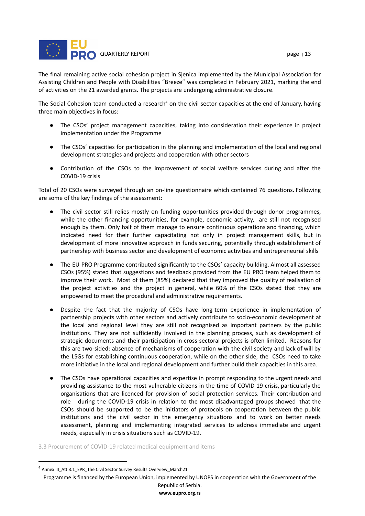

The final remaining active social cohesion project in Sjenica implemented by the Municipal Association for Assisting Children and People with Disabilities "Breeze" was completed in February 2021, marking the end of activities on the 21 awarded grants. The projects are undergoing administrative closure.

The Social Cohesion team conducted a research<sup>4</sup> on the civil sector capacities at the end of January, having three main objectives in focus:

- The CSOs' project management capacities, taking into consideration their experience in project implementation under the Programme
- The CSOs' capacities for participation in the planning and implementation of the local and regional development strategies and projects and cooperation with other sectors
- Contribution of the CSOs to the improvement of social welfare services during and after the COVID-19 crisis

Total of 20 CSOs were surveyed through an on-line questionnaire which contained 76 questions. Following are some of the key findings of the assessment:

- The civil sector still relies mostly on funding opportunities provided through donor programmes, while the other financing opportunities, for example, economic activity, are still not recognised enough by them. Only half of them manage to ensure continuous operations and financing, which indicated need for their further capacitating not only in project management skills, but in development of more innovative approach in funds securing, potentially through establishment of partnership with business sector and development of economic activities and entrepreneurial skills
- The EU PRO Programme contributed significantly to the CSOs' capacity building. Almost all assessed CSOs (95%) stated that suggestions and feedback provided from the EU PRO team helped them to improve their work. Most of them (85%) declared that they improved the quality of realisation of the project activities and the project in general, while 60% of the CSOs stated that they are empowered to meet the procedural and administrative requirements.
- Despite the fact that the majority of CSOs have long-term experience in implementation of partnership projects with other sectors and actively contribute to socio-economic development at the local and regional level they are still not recognised as important partners by the public institutions. They are not sufficiently involved in the planning process, such as development of strategic documents and their participation in cross-sectoral projects is often limited. Reasons for this are two-sided: absence of mechanisms of cooperation with the civil society and lack of will by the LSGs for establishing continuous cooperation, while on the other side, the CSOs need to take more initiative in the local and regional development and further build their capacities in this area.
- The CSOs have operational capacities and expertise in prompt responding to the urgent needs and providing assistance to the most vulnerable citizens in the time of COVID 19 crisis, particularly the organisations that are licenced for provision of social protection services. Their contribution and role during the COVID-19 crisis in relation to the most disadvantaged groups showed that the CSOs should be supported to be the initiators of protocols on cooperation between the public institutions and the civil sector in the emergency situations and to work on better needs assessment, planning and implementing integrated services to address immediate and urgent needs, especially in crisis situations such as COVID-19.
- 3.3 Procurement of COVID-19 related medical equipment and items

<sup>4</sup> Annex III\_Att.3.1\_EPR\_The Civil Sector Survey Results Overview\_March21

Programme is financed by the European Union, implemented by UNOPS in cooperation with the Government of the Republic of Serbia.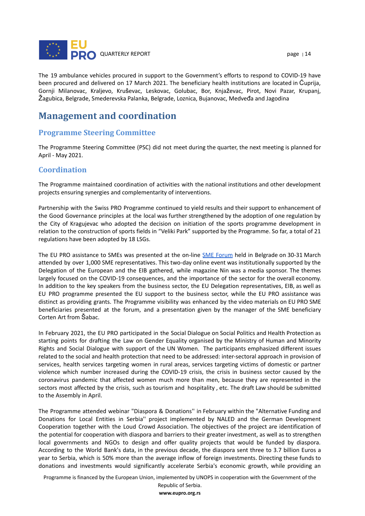

The 19 ambulance vehicles procured in support to the Government's efforts to respond to COVID-19 have been procured and delivered on 17 March 2021. The beneficiary health institutions are located in Ćuprija, Gornji Milanovac, Kraljevo, Kruševac, Leskovac, Golubac, Bor, Knjaževac, Pirot, Novi Pazar, Krupanj, Žagubica, Belgrade, Smederevska Palanka, Belgrade, Loznica, Bujanovac, Medveđa and Jagodina

## <span id="page-14-0"></span>**Management and coordination**

## <span id="page-14-1"></span>**Programme Steering Committee**

The Programme Steering Committee (PSC) did not meet during the quarter, the next meeting is planned for April - May 2021.

## <span id="page-14-2"></span>**Coordination**

The Programme maintained coordination of activities with the national institutions and other development projects ensuring synergies and complementarity of interventions.

Partnership with the Swiss PRO Programme continued to yield results and their support to enhancement of the Good Governance principles at the local was further strengthened by the adoption of one regulation by the City of Kragujevac who adopted the decision on initiation of the sports programme development in relation to the construction of sports fields in "Veliki Park" supported by the Programme. So far, a total of 21 regulations have been adopted by 18 LSGs.

The EU PRO assistance to SMEs was presented at the on-line SME [Forum](https://www.msp-forum.rs/govornici/) held in Belgrade on 30-31 March attended by over 1,000 SME representatives. This two-day online event was institutionally supported by the Delegation of the European and the EIB gathered, while magazine Nin was a media sponsor. The themes largely focused on the COVID-19 consequences, and the importance of the sector for the overall economy. In addition to the key speakers from the business sector, the EU Delegation representatives, EIB, as well as EU PRO programme presented the EU support to the business sector, while the EU PRO assistance was distinct as providing grants. The Programme visibility was enhanced by the video materials on EU PRO SME beneficiaries presented at the forum, and a presentation given by the manager of the SME beneficiary Corten Art from Šabac.

In February 2021, the EU PRO participated in the Social Dialogue on Social Politics and Health Protection as starting points for drafting the Law on Gender Equality organised by the Ministry of Human and Minority Rights and Social Dialogue with support of the UN Women. The participants emphasized different issues related to the social and health protection that need to be addressed: inter-sectoral approach in provision of services, health services targeting women in rural areas, services targeting victims of domestic or partner violence which number increased during the COVID-19 crisis, the crisis in business sector caused by the coronavirus pandemic that affected women much more than men, because they are represented in the sectors most affected by the crisis, such as tourism and hospitality , etc. The draft Law should be submitted to the Assembly in April.

The Programme attended webinar "Diaspora & Donations'' in February within the "Alternative Funding and Donations for Local Entities in Serbia'' project implemented by NALED and the German Development Cooperation together with the Loud Crowd Association. The objectives of the project are identification of the potential for cooperation with diaspora and barriers to their greater investment, as well as to strengthen local governments and NGOs to design and offer quality projects that would be funded by diaspora. According to the World Bank's data, in the previous decade, the diaspora sent three to 3.7 billion Euros a year to Serbia, which is 50% more than the average inflow of foreign investments. Directing these funds to donations and investments would significantly accelerate Serbia's economic growth, while providing an

Programme is financed by the European Union, implemented by UNOPS in cooperation with the Government of the

Republic of Serbia. **www.eupro.org.rs**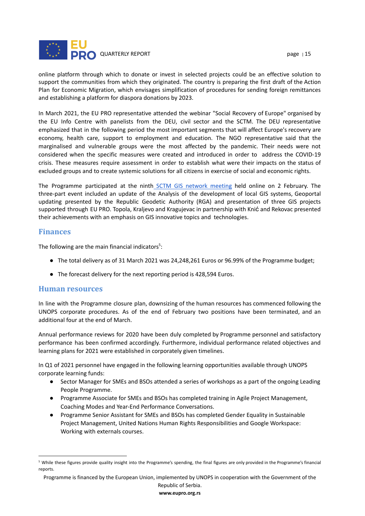

online platform through which to donate or invest in selected projects could be an effective solution to support the communities from which they originated. The country is preparing the first draft of the Action Plan for Economic Migration, which envisages simplification of procedures for sending foreign remittances and establishing a platform for diaspora donations by 2023.

In March 2021, the EU PRO representative attended the webinar "Social Recovery of Europe" organised by the EU Info Centre with panelists from the DEU, civil sector and the SCTM. The DEU representative emphasized that in the following period the most important segments that will affect Europe's recovery are economy, health care, support to employment and education. The NGO representative said that the marginalised and vulnerable groups were the most affected by the pandemic. Their needs were not considered when the specific measures were created and introduced in order to address the COVID-19 crisis. These measures require assessment in order to establish what were their impacts on the status of excluded groups and to create systemic solutions for all citizens in exercise of social and economic rights.

The Programme participated at the ninth SCTM GIS [network](http://www.skgo.org/vesti/detaljno/2592/odrzan-deveti-sastanak-skgo-mreze-za-gis) meeting held online on 2 February. The three-part event included an update of the Analysis of the development of local GIS systems, Geoportal updating presented by the Republic Geodetic Authority (RGA) and presentation of three GIS projects supported through EU PRO. Topola, Kraljevo and Kragujevac in partnership with Knić and Rekovac presented their achievements with an emphasis on GIS innovative topics and technologies.

#### <span id="page-15-0"></span>**Finances**

The following are the main financial indicators<sup>5</sup>:

- The total delivery as of 31 March 2021 was 24,248,261 Euros or 96.99% of the Programme budget;
- The forecast delivery for the next reporting period is 428,594 Euros.

#### <span id="page-15-1"></span>**Human resources**

In line with the Programme closure plan, downsizing of the human resources has commenced following the UNOPS corporate procedures. As of the end of February two positions have been terminated, and an additional four at the end of March.

Annual performance reviews for 2020 have been duly completed by Programme personnel and satisfactory performance has been confirmed accordingly. Furthermore, individual performance related objectives and learning plans for 2021 were established in corporately given timelines.

In Q1 of 2021 personnel have engaged in the following learning opportunities available through UNOPS corporate learning funds:

- Sector Manager for SMEs and BSOs attended a series of workshops as a part of the ongoing Leading People Programme.
- Programme Associate for SMEs and BSOs has completed training in Agile Project Management, Coaching Modes and Year-End Performance Conversations.
- Programme Senior Assistant for SMEs and BSOs has completed Gender Equality in Sustainable Project Management, United Nations Human Rights Responsibilities and Google Workspace: Working with externals courses.

<sup>&</sup>lt;sup>5</sup> While these figures provide quality insight into the Programme's spending, the final figures are only provided in the Programme's financial reports.

Programme is financed by the European Union, implemented by UNOPS in cooperation with the Government of the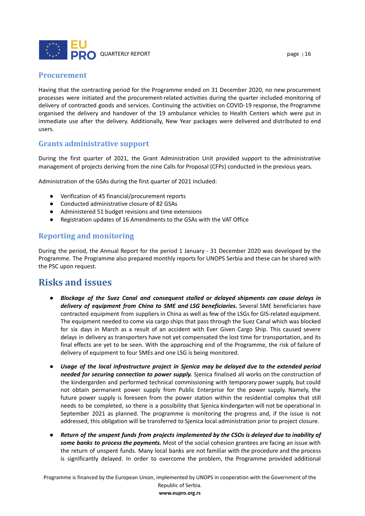

### <span id="page-16-0"></span>**Procurement**

Having that the contracting period for the Programme ended on 31 December 2020, no new procurement processes were initiated and the procurement-related activities during the quarter included monitoring of delivery of contracted goods and services. Continuing the activities on COVID-19 response, the Programme organised the delivery and handover of the 19 ambulance vehicles to Health Centers which were put in immediate use after the delivery. Additionally, New Year packages were delivered and distributed to end users.

## <span id="page-16-1"></span>**Grants administrative support**

During the first quarter of 2021, the Grant Administration Unit provided support to the administrative management of projects deriving from the nine Calls for Proposal (CFPs) conducted in the previous years.

Administration of the GSAs during the first quarter of 2021 included:

- Verification of 45 financial/procurement reports
- Conducted administrative closure of 82 GSAs
- Administered 51 budget revisions and time extensions
- Registration updates of 16 Amendments to the GSAs with the VAT Office

## <span id="page-16-2"></span>**Reporting and monitoring**

During the period, the Annual Report for the period 1 January - 31 December 2020 was developed by the Programme. The Programme also prepared monthly reports for UNOPS Serbia and these can be shared with the PSC upon request.

## <span id="page-16-3"></span>**Risks and issues**

- *Blockage of the Suez Canal and consequent stalled or delayed shipments can cause delays in delivery of equipment from China to SME and LSG beneficiaries.* Several SME beneficiaries have contracted equipment from suppliers in China as well as few of the LSGs for GIS-related equipment. The equipment needed to come via cargo ships that pass through the Suez Canal which was blocked for six days in March as a result of an accident with Ever Given Cargo Ship. This caused severe delays in delivery as transporters have not yet compensated the lost time for transportation, and its final effects are yet to be seen. With the approaching end of the Programme, the risk of failure of delivery of equipment to four SMEs and one LSG is being monitored.
- *Usage of the local infrastructure project in Sjenica may be delayed due to the extended period needed for securing connection to power supply.* Sjenica finalised all works on the construction of the kindergarden and performed technical commissioning with temporary power supply, but could not obtain permanent power supply from Public Enterprise for the power supply. Namely, the future power supply is foreseen from the power station within the residential complex that still needs to be completed, so there is a possibility that Sjenica kindergarten will not be operational in September 2021 as planned. The programme is monitoring the progress and, if the issue is not addressed, this obligation will be transferred to Sjenica local administration prior to project closure.
- *● Return of the unspent funds from projects implemented by the CSOs is delayed due to inability of some banks to process the payments.* Most of the social cohesion grantees are facing an issue with the return of unspent funds. Many local banks are not familiar with the procedure and the process is significantly delayed. In order to overcome the problem, the Programme provided additional

Programme is financed by the European Union, implemented by UNOPS in cooperation with the Government of the Republic of Serbia. **www.eupro.org.rs**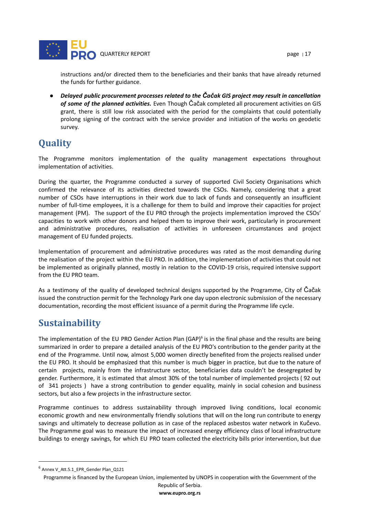

instructions and/or directed them to the beneficiaries and their banks that have already returned the funds for further guidance.

● *Delayed public procurement processes related to the Čačak GIS project may result in cancellation of some of the planned activities.* Even Though Čačak completed all procurement activities on GIS grant, there is still low risk associated with the period for the complaints that could potentially prolong signing of the contract with the service provider and initiation of the works on geodetic survey.

# <span id="page-17-0"></span>**Quality**

The Programme monitors implementation of the quality management expectations throughout implementation of activities.

During the quarter, the Programme conducted a survey of supported Civil Society Organisations which confirmed the relevance of its activities directed towards the CSOs. Namely, considering that a great number of CSOs have interruptions in their work due to lack of funds and consequently an insufficient number of full-time employees, it is a challenge for them to build and improve their capacities for project management (PM). The support of the EU PRO through the projects implementation improved the CSOs' capacities to work with other donors and helped them to improve their work, particularly in procurement and administrative procedures, realisation of activities in unforeseen circumstances and project management of EU funded projects.

Implementation of procurement and administrative procedures was rated as the most demanding during the realisation of the project within the EU PRO. In addition, the implementation of activities that could not be implemented as originally planned, mostly in relation to the COVID-19 crisis, required intensive support from the EU PRO team.

As a testimony of the quality of developed technical designs supported by the Programme, City of Čačak issued the construction permit for the Technology Park one day upon electronic submission of the necessary documentation, recording the most efficient issuance of a permit during the Programme life cycle.

# <span id="page-17-1"></span>**Sustainability**

The implementation of the EU PRO Gender Action Plan  $(GAP)^6$  is in the final phase and the results are being summarized in order to prepare a detailed analysis of the EU PRO's contribution to the gender parity at the end of the Programme. Until now, almost 5,000 women directly benefited from the projects realised under the EU PRO. It should be emphasized that this number is much bigger in practice, but due to the nature of certain projects, mainly from the infrastructure sector, beneficiaries data couldn't be desegregated by gender. Furthermore, it is estimated that almost 30% of the total number of implemented projects ( 92 out of 341 projects ) have a strong contribution to gender equality, mainly in social cohesion and business sectors, but also a few projects in the infrastructure sector.

Programme continues to address sustainability through improved living conditions, local economic economic growth and new environmentally friendly solutions that will on the long run contribute to energy savings and ultimately to decrease pollution as in case of the replaced asbestos water network in Kučevo. The Programme goal was to measure the impact of increased energy efficiency class of local infrastructure buildings to energy savings, for which EU PRO team collected the electricity bills prior intervention, but due

<sup>6</sup> Annex V\_Att.5.1\_EPR\_Gender Plan\_Q121

Programme is financed by the European Union, implemented by UNOPS in cooperation with the Government of the Republic of Serbia.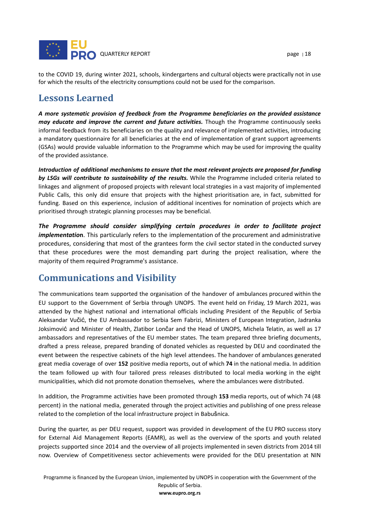

# <span id="page-18-0"></span>**Lessons Learned**

*A more systematic provision of feedback from the Programme beneficiaries on the provided assistance may educate and improve the current and future activities.* Though the Programme continuously seeks informal feedback from its beneficiaries on the quality and relevance of implemented activities, introducing a mandatory questionnaire for all beneficiaries at the end of implementation of grant support agreements (GSAs) would provide valuable information to the Programme which may be used for improving the quality of the provided assistance.

*Introduction of additional mechanisms to ensure that the most relevant projects are proposed for funding by LSGs will contribute to sustainability of the results.* While the Programme included criteria related to linkages and alignment of proposed projects with relevant local strategies in a vast majority of implemented Public Calls, this only did ensure that projects with the highest prioritisation are, in fact, submitted for funding. Based on this experience, inclusion of additional incentives for nomination of projects which are prioritised through strategic planning processes may be beneficial.

*The Programme should consider simplifying certain procedures in order to facilitate project implementatio***n**. This particularly refers to the implementation of the procurement and administrative procedures, considering that most of the grantees form the civil sector stated in the conducted survey that these procedures were the most demanding part during the project realisation, where the majority of them required Programme's assistance.

# <span id="page-18-1"></span>**Communications and Visibility**

The communications team supported the organisation of the handover of ambulances procured within the EU support to the Government of Serbia through UNOPS. The event held on Friday, 19 March 2021, was attended by the highest national and international officials including President of the Republic of Serbia Aleksandar Vučić, the EU Ambassador to Serbia Sem Fabrizi, Ministers of European Integration, Jadranka Joksimović and Minister of Health, Zlatibor Lončar and the Head of UNOPS, Michela Telatin, as well as 17 ambassadors and representatives of the EU member states. The team prepared three briefing documents, drafted a press release, prepared branding of donated vehicles as requested by DEU and coordinated the event between the respective cabinets of the high level attendees. The handover of ambulances generated great media coverage of over **152** positive media reports, out of which **74** in the national media. In addition the team followed up with four tailored press releases distributed to local media working in the eight municipalities, which did not promote donation themselves, where the ambulances were distributed.

In addition, the Programme activities have been promoted through **153** media reports, out of which 74 (48 percent) in the national media, generated through the project activities and publishing of one press release related to the completion of the local infrastructure project in Babušnica.

During the quarter, as per DEU request, support was provided in development of the EU PRO success story for External Aid Management Reports (EAMR), as well as the overview of the sports and youth related projects supported since 2014 and the overview of all projects implemented in seven districts from 2014 till now. Overview of Competitiveness sector achievements were provided for the DEU presentation at NIN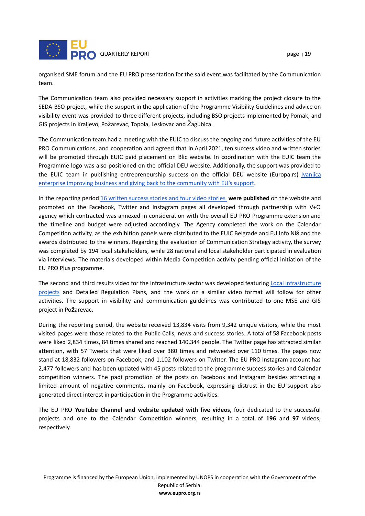

The Communication team also provided necessary support in activities marking the project closure to the SEDA BSO project, while the support in the application of the Programme Visibility Guidelines and advice on visibility event was provided to three different projects, including BSO projects implemented by Pomak, and GIS projects in Kraljevo, Požarevac, Topola, Leskovac and Žagubica.

The Communication team had a meeting with the EUIC to discuss the ongoing and future activities of the EU PRO Communications, and cooperation and agreed that in April 2021, ten success video and written stories will be promoted through EUIC paid placement on Blic website. In coordination with the EUIC team the Programme logo was also positioned on the official DEU website. Additionally, the support was provided to the EUIC team in publishing entrepreneurship success on the official DEU website (Europa.rs) [Ivanjica](http://europa.rs/ivanjica-enterprise-drums-up-business-and-gives-back-to-the-community-with-eus-support/?lang=en) [enterprise improving business and giving back to the community with EU's support](http://europa.rs/ivanjica-enterprise-drums-up-business-and-gives-back-to-the-community-with-eus-support/?lang=en).

In the reporting period 16 written [success](https://www.eupro.org.rs/vesti/uspesne-price) stories and four video stories **were published** on the website and promoted on the Facebook, Twitter and Instagram pages all developed through partnership with V+O agency which contracted was annexed in consideration with the overall EU PRO Programme extension and the timeline and budget were adjusted accordingly. The Agency completed the work on the Calendar Competition activity, as the exhibition panels were distributed to the EUIC Belgrade and EU Info Niš and the awards distributed to the winners. Regarding the evaluation of Communication Strategy activity, the survey was completed by 194 local stakeholders, while 28 national and local stakeholder participated in evaluation via interviews. The materials developed within Media Competition activity pending official initiation of the EU PRO Plus programme.

The second and third results video for the infrastructure sector was developed featuring Local [infrastructure](https://www.youtube.com/watch?v=pip1Os0qrPU) [projects](https://www.youtube.com/watch?v=pip1Os0qrPU) and Detailed Regulation Plans, and the work on a similar video format will follow for other activities. The support in visibility and communication guidelines was contributed to one MSE and GIS project in Požarevac.

During the reporting period, the website received 13,834 visits from 9,342 unique visitors, while the most visited pages were those related to the Public Calls, news and success stories. A total of 58 Facebook posts were liked 2,834 times, 84 times shared and reached 140,344 people. The Twitter page has attracted similar attention, with 57 Tweets that were liked over 380 times and retweeted over 110 times. The pages now stand at 18,832 followers on Facebook, and 1,102 followers on Twitter. The EU PRO Instagram account has 2,477 followers and has been updated with 45 posts related to the programme success stories and Calendar competition winners. The padi promotion of the posts on Facebook and Instagram besides attracting a limited amount of negative comments, mainly on Facebook, expressing distrust in the EU support also generated direct interest in participation in the Programme activities.

The EU PRO **YouTube Channel and website updated with five videos,** four dedicated to the successful projects and one to the Calendar Competition winners, resulting in a total of **196** and **97** videos, respectively.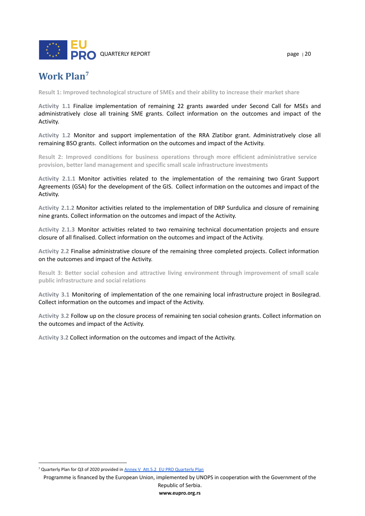

# <span id="page-20-0"></span>**Work Plan 7**

**Result 1: Improved technological structure of SMEs and their ability to increase their market share**

**Activity 1.1** Finalize implementation of remaining 22 grants awarded under Second Call for MSEs and administratively close all training SME grants. Collect information on the outcomes and impact of the Activity.

**Activity 1.2** Monitor and support implementation of the RRA Zlatibor grant. Administratively close all remaining BSO grants. Collect information on the outcomes and impact of the Activity.

**Result 2: Improved conditions for business operations through more efficient administrative service provision, better land management and specific small scale infrastructure investments**

**Activity 2.1.1** Monitor activities related to the implementation of the remaining two Grant Support Agreements (GSA) for the development of the GIS. Collect information on the outcomes and impact of the Activity.

**Activity 2.1.2** Monitor activities related to the implementation of DRP Surdulica and closure of remaining nine grants. Collect information on the outcomes and impact of the Activity.

**Activity 2.1.3** Monitor activities related to two remaining technical documentation projects and ensure closure of all finalised. Collect information on the outcomes and impact of the Activity.

**Activity 2.2** Finalise administrative closure of the remaining three completed projects. Collect information on the outcomes and impact of the Activity.

**Result 3: Better social cohesion and attractive living environment through improvement of small scale public infrastructure and social relations**

**Activity 3.1** Monitoring of implementation of the one remaining local infrastructure project in Bosilegrad. Collect information on the outcomes and impact of the Activity.

**Activity 3.2** Follow up on the closure process of remaining ten social cohesion grants. Collect information on the outcomes and impact of the Activity.

**Activity 3.2** Collect information on the outcomes and impact of the Activity.

<sup>&</sup>lt;sup>7</sup> Quarterly Plan for Q3 of 2020 provided in Annex [V\\_Att.5.2\\_EU](https://docs.google.com/document/d/1BRIjTdFI1ZE4MwdzckFN5fqyoiZwDKy7/edit) PRO Quarterly Plan

Programme is financed by the European Union, implemented by UNOPS in cooperation with the Government of the Republic of Serbia.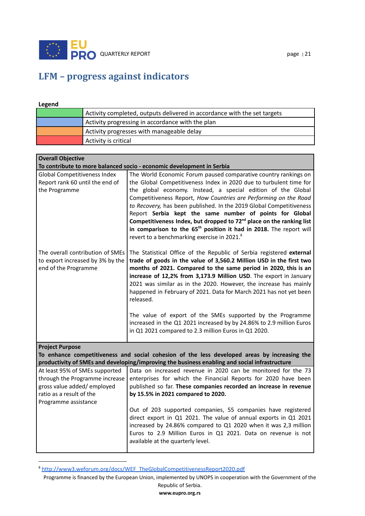

# <span id="page-21-0"></span>**LFM – progress against indicators**

#### **Legend**

| Activity completed, outputs delivered in accordance with the set targets |
|--------------------------------------------------------------------------|
| Activity progressing in accordance with the plan                         |
| Activity progresses with manageable delay                                |
| Activity is critical                                                     |

| <b>Overall Objective</b>                                                                                                                           |                                                                                                                                                                                                                                                                                                                                                                                                                                                                                                                                                                                                                                           |  |  |  |
|----------------------------------------------------------------------------------------------------------------------------------------------------|-------------------------------------------------------------------------------------------------------------------------------------------------------------------------------------------------------------------------------------------------------------------------------------------------------------------------------------------------------------------------------------------------------------------------------------------------------------------------------------------------------------------------------------------------------------------------------------------------------------------------------------------|--|--|--|
|                                                                                                                                                    | To contribute to more balanced socio - economic development in Serbia                                                                                                                                                                                                                                                                                                                                                                                                                                                                                                                                                                     |  |  |  |
| <b>Global Competitiveness Index</b><br>Report rank 60 until the end of<br>the Programme                                                            | The World Economic Forum paused comparative country rankings on<br>the Global Competitiveness Index in 2020 due to turbulent time for<br>the global economy. Instead, a special edition of the Global<br>Competitiveness Report, How Countries are Performing on the Road<br>to Recovery, has been published. In the 2019 Global Competitiveness<br>Report Serbia kept the same number of points for Global<br>Competitiveness Index, but dropped to $72nd$ place on the ranking list<br>in comparison to the 65 <sup>th</sup> position it had in 2018. The report will<br>revert to a benchmarking exercise in 2021. <sup>8</sup>        |  |  |  |
| The overall contribution of SMEs<br>to export increased by 3% by the<br>end of the Programme                                                       | The Statistical Office of the Republic of Serbia registered external<br>trade of goods in the value of 3,560.2 Million USD in the first two<br>months of 2021. Compared to the same period in 2020, this is an<br>increase of 12,2% from 3,173.9 Million USD. The export in January<br>2021 was similar as in the 2020. However, the increase has mainly<br>happened in February of 2021. Data for March 2021 has not yet been<br>released.<br>The value of export of the SMEs supported by the Programme<br>increased in the Q1 2021 increased by by 24.86% to 2.9 million Euros<br>in Q1 2021 compared to 2.3 million Euros in Q1 2020. |  |  |  |
|                                                                                                                                                    |                                                                                                                                                                                                                                                                                                                                                                                                                                                                                                                                                                                                                                           |  |  |  |
| <b>Project Purpose</b>                                                                                                                             | To enhance competitiveness and social cohesion of the less developed areas by increasing the<br>productivity of SMEs and developing/improving the business enabling and social infrastructure                                                                                                                                                                                                                                                                                                                                                                                                                                             |  |  |  |
| At least 95% of SMEs supported<br>through the Programme increase<br>gross value added/employed<br>ratio as a result of the<br>Programme assistance | Data on increased revenue in 2020 can be monitored for the 73<br>enterprises for which the Financial Reports for 2020 have been<br>published so far. These companies recorded an increase in revenue<br>by 15.5% in 2021 compared to 2020.<br>Out of 203 supported companies, 55 companies have registered<br>direct export in Q1 2021. The value of annual exports in Q1 2021<br>increased by 24.86% compared to Q1 2020 when it was 2,3 million<br>Euros to 2.9 Million Euros in Q1 2021. Data on revenue is not<br>available at the quarterly level.                                                                                   |  |  |  |
|                                                                                                                                                    |                                                                                                                                                                                                                                                                                                                                                                                                                                                                                                                                                                                                                                           |  |  |  |

<sup>8</sup> [http://www3.weforum.org/docs/WEF\\_TheGlobalCompetitivenessReport2020.pdf](http://www3.weforum.org/docs/WEF_TheGlobalCompetitivenessReport2020.pdf)

Programme is financed by the European Union, implemented by UNOPS in cooperation with the Government of the Republic of Serbia.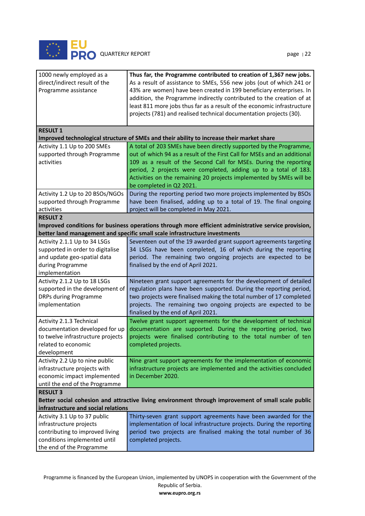

| 1000 newly employed as a<br>direct/indirect result of the<br>Programme assistance                                                                      | Thus far, the Programme contributed to creation of 1,367 new jobs.<br>As a result of assistance to SMEs, 556 new jobs (out of which 241 or<br>43% are women) have been created in 199 beneficiary enterprises. In<br>addition, the Programme indirectly contributed to the creation of at<br>least 811 more jobs thus far as a result of the economic infrastructure<br>projects (781) and realised technical documentation projects (30). |
|--------------------------------------------------------------------------------------------------------------------------------------------------------|--------------------------------------------------------------------------------------------------------------------------------------------------------------------------------------------------------------------------------------------------------------------------------------------------------------------------------------------------------------------------------------------------------------------------------------------|
| <b>RESULT 1</b>                                                                                                                                        | Improved technological structure of SMEs and their ability to increase their market share                                                                                                                                                                                                                                                                                                                                                  |
| Activity 1.1 Up to 200 SMEs                                                                                                                            | A total of 203 SMEs have been directly supported by the Programme,                                                                                                                                                                                                                                                                                                                                                                         |
| supported through Programme<br>activities                                                                                                              | out of which 94 as a result of the First Call for MSEs and an additional<br>109 as a result of the Second Call for MSEs. During the reporting<br>period, 2 projects were completed, adding up to a total of 183.<br>Activities on the remaining 20 projects implemented by SMEs will be<br>be completed in Q2 2021.                                                                                                                        |
| Activity 1.2 Up to 20 BSOs/NGOs<br>supported through Programme<br>activities                                                                           | During the reporting period two more projects implemented by BSOs<br>have been finalised, adding up to a total of 19. The final ongoing<br>project will be completed in May 2021.                                                                                                                                                                                                                                                          |
| <b>RESULT 2</b>                                                                                                                                        |                                                                                                                                                                                                                                                                                                                                                                                                                                            |
|                                                                                                                                                        | Improved conditions for business operations through more efficient administrative service provision,                                                                                                                                                                                                                                                                                                                                       |
|                                                                                                                                                        | better land management and specific small scale infrastructure investments                                                                                                                                                                                                                                                                                                                                                                 |
| Activity 2.1.1 Up to 34 LSGs<br>supported in order to digitalise<br>and update geo-spatial data<br>during Programme<br>implementation                  | Seventeen out of the 19 awarded grant support agreements targeting<br>34 LSGs have been completed, 16 of which during the reporting<br>period. The remaining two ongoing projects are expected to be<br>finalised by the end of April 2021.                                                                                                                                                                                                |
| Activity 2.1.2 Up to 18 LSGs<br>supported in the development of<br><b>DRPs during Programme</b><br>implementation                                      | Nineteen grant support agreements for the development of detailed<br>regulation plans have been supported. During the reporting period,<br>two projects were finalised making the total number of 17 completed<br>projects. The remaining two ongoing projects are expected to be<br>finalised by the end of April 2021.                                                                                                                   |
| Activity 2.1.3 Technical<br>documentation developed for up<br>to twelve infrastructure projects<br>related to economic<br>development                  | Twelve grant support agreements for the development of technical<br>documentation are supported. During the reporting period, two<br>projects were finalised contributing to the total number of ten<br>completed projects.                                                                                                                                                                                                                |
| Activity 2.2 Up to nine public<br>infrastructure projects with<br>economic impact implemented<br>until the end of the Programme                        | Nine grant support agreements for the implementation of economic<br>infrastructure projects are implemented and the activities concluded<br>in December 2020.                                                                                                                                                                                                                                                                              |
| <b>RESULT 3</b>                                                                                                                                        |                                                                                                                                                                                                                                                                                                                                                                                                                                            |
|                                                                                                                                                        | Better social cohesion and attractive living environment through improvement of small scale public                                                                                                                                                                                                                                                                                                                                         |
| infrastructure and social relations                                                                                                                    |                                                                                                                                                                                                                                                                                                                                                                                                                                            |
| Activity 3.1 Up to 37 public<br>infrastructure projects<br>contributing to improved living<br>conditions implemented until<br>the end of the Programme | Thirty-seven grant support agreements have been awarded for the<br>implementation of local infrastructure projects. During the reporting<br>period two projects are finalised making the total number of 36<br>completed projects.                                                                                                                                                                                                         |